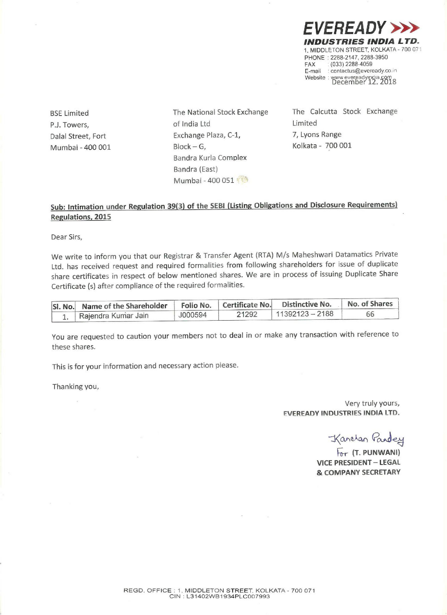EVEREADY > INDUSTRIES INDIA L TD. 1, MIDDLETON STREET. KOLKATA- 700 07: PHONE : 2288-2147, 2288-3950 FAX : (033) 2288-4059 E-mail : contactus@eveready.co.in Website : www.evereadyindia.com WENTRIES INDIA<br>
MDUSTRIES INDIA<br>
MIDDLETON STREET, KOLKATA<br>
PHONE : 2288-2147, 2288-3950<br>
FAX : (033) 2288-4059<br>
E-mail : contactus@eveready.co.in<br>
Website : www.eveready.mdia.com<br>
December 12, 2018<br>
Calcutta Stock Exchang

BSE Limited PJ. Towers, Dalal Street, Fort Mumbai - 400 001 The National Stock Exchange of india Ltd Exchange Plaza, C-1, Block — 6. Sandra Kurla Complex Bandra (East) Mumbai - 400 051

The Calcutta Stock Exchange Limited 7, Lyons Range Kolkata - 700 001

## Sub: Intimation under Regulation 39(3) of the SEBI (Listing Obligations and Disclosure Requirements) Regulations. 2015

Dear Sirs,

We write to inform you that our Registrar & Transfer Agent (RTA) M/s Maheshwari Datamatics Private Ltd. has received request and required formalities from foilowing shareholders for issue of duplicate share certificates in respect of below mentioned shares. We are in process of issuing Duplicate Share **EVEREADY**<br> **INDUSTRIEADY**<br>
INDUSTRIES INDIA<br>
INDUSTRIES INDUSTRIES<br>
INDUSTRIES<br>
Email considers<br>
Email considers<br>
Email considers<br>
Email considers<br>
Email considers<br>
Email considers<br>
Email considers<br>
Email considers<br>
SECUT Certificate (5) after compliance of the required formalities. **EVEREADY**<br>
INDENSITE: KOLIGAT<br>
1. MIDELIONSTREET. KOLIGAT<br>
1. MIDELIONSTREET. NOLIGAT<br>
FRAX 2288-2147, 228.5-2015<br>
E-mail constructed<br>
E-mail constructed<br>
2.1. Towers,<br>
2.1. Towers,<br>
2. Towers,<br>
The National Stock Exchan **EVEREADY**<br>
INDUSTRIES INDEX<br>
INDUSTRIES INDEX<br>
INDUSTRIES INDEX<br>
PROGREMENT ROLLER<br>
PROGREMENT ROLLER<br>
FOR CONSISTENT AND RESOLUTE<br>
FOR CONSISTENT AND RESOLUTE<br>
SEE Limited<br>
The National Stock Exchange<br>
The Calcutta Stoc

| SI. No. Name of the Shareholder |         |       | Folio No.   Certificate No.   Distinctive No.   No. of Shares |    |
|---------------------------------|---------|-------|---------------------------------------------------------------|----|
| 1. Rajendra Kumar Jain          | J000594 | 21292 | $11392123 - 2188$                                             | 66 |

You are requested to caution your members not to deal in or make any transaction with reference to these shares.

This is for your information and necessary action please.

Thanking you,

Very truly yours, FVEREADY INDUSTRIES INDIA LTD.

Kanatan Pandey

For (T. PUNWANI) VICE PRESIDENT — LEGAL & COMPANY SECRETARY